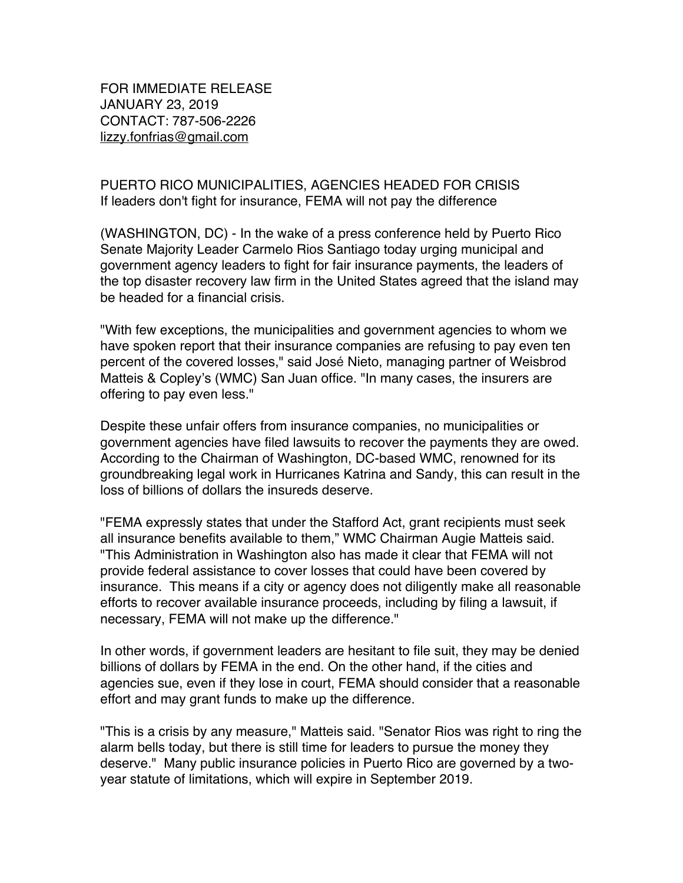FOR IMMEDIATE RELEASE JANUARY 23, 2019 CONTACT: 787-506-2226 lizzy.fonfrias@gmail.com

## PUERTO RICO MUNICIPALITIES, AGENCIES HEADED FOR CRISIS If leaders don't fight for insurance, FEMA will not pay the difference

(WASHINGTON, DC) - In the wake of a press conference held by Puerto Rico Senate Majority Leader Carmelo Rios Santiago today urging municipal and government agency leaders to fight for fair insurance payments, the leaders of the top disaster recovery law firm in the United States agreed that the island may be headed for a financial crisis.

"With few exceptions, the municipalities and government agencies to whom we have spoken report that their insurance companies are refusing to pay even ten percent of the covered losses," said José Nieto, managing partner of Weisbrod Matteis & Copley's (WMC) San Juan office. "In many cases, the insurers are offering to pay even less."

Despite these unfair offers from insurance companies, no municipalities or government agencies have filed lawsuits to recover the payments they are owed. According to the Chairman of Washington, DC-based WMC, renowned for its groundbreaking legal work in Hurricanes Katrina and Sandy, this can result in the loss of billions of dollars the insureds deserve.

"FEMA expressly states that under the Stafford Act, grant recipients must seek all insurance benefits available to them," WMC Chairman Augie Matteis said. "This Administration in Washington also has made it clear that FEMA will not provide federal assistance to cover losses that could have been covered by insurance. This means if a city or agency does not diligently make all reasonable efforts to recover available insurance proceeds, including by filing a lawsuit, if necessary, FEMA will not make up the difference."

In other words, if government leaders are hesitant to file suit, they may be denied billions of dollars by FEMA in the end. On the other hand, if the cities and agencies sue, even if they lose in court, FEMA should consider that a reasonable effort and may grant funds to make up the difference.

"This is a crisis by any measure," Matteis said. "Senator Rios was right to ring the alarm bells today, but there is still time for leaders to pursue the money they deserve." Many public insurance policies in Puerto Rico are governed by a twoyear statute of limitations, which will expire in September 2019.